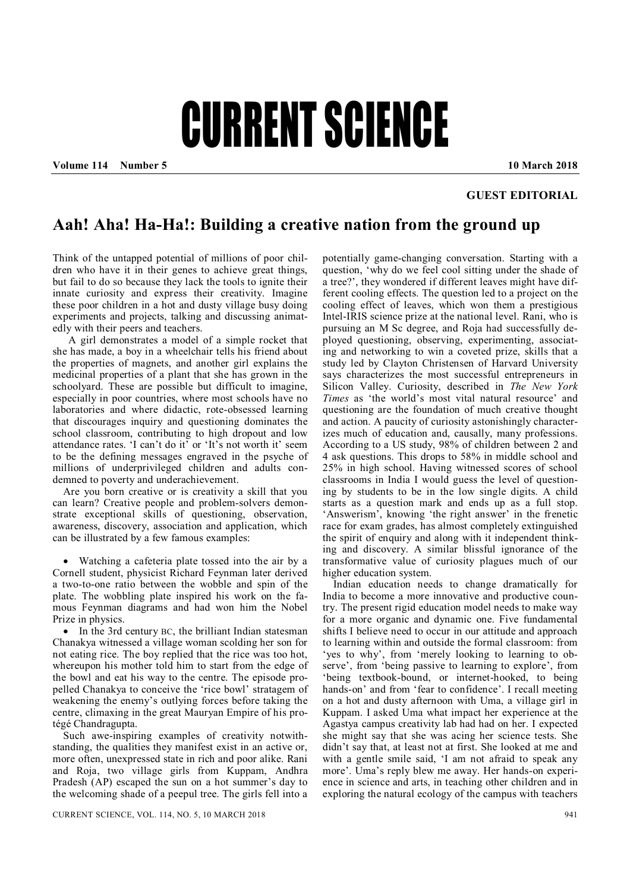## CURRENT SCIENCE

**Volume 114 Number 5 10 March 2018**

## **GUEST EDITORIAL**

## **Aah! Aha! Ha-Ha!: Building a creative nation from the ground up**

Think of the untapped potential of millions of poor children who have it in their genes to achieve great things, but fail to do so because they lack the tools to ignite their innate curiosity and express their creativity. Imagine these poor children in a hot and dusty village busy doing experiments and projects, talking and discussing animatedly with their peers and teachers.

A girl demonstrates a model of a simple rocket that she has made, a boy in a wheelchair tells his friend about the properties of magnets, and another girl explains the medicinal properties of a plant that she has grown in the schoolyard. These are possible but difficult to imagine, especially in poor countries, where most schools have no laboratories and where didactic, rote-obsessed learning that discourages inquiry and questioning dominates the school classroom, contributing to high dropout and low attendance rates. 'I can't do it' or 'It's not worth it' seem to be the defining messages engraved in the psyche of millions of underprivileged children and adults condemned to poverty and underachievement.

Are you born creative or is creativity a skill that you can learn? Creative people and problem-solvers demonstrate exceptional skills of questioning, observation, awareness, discovery, association and application, which can be illustrated by a few famous examples:

 Watching a cafeteria plate tossed into the air by a Cornell student, physicist Richard Feynman later derived a two-to-one ratio between the wobble and spin of the plate. The wobbling plate inspired his work on the famous Feynman diagrams and had won him the Nobel Prize in physics.

• In the 3rd century BC, the brilliant Indian statesman Chanakya witnessed a village woman scolding her son for not eating rice. The boy replied that the rice was too hot, whereupon his mother told him to start from the edge of the bowl and eat his way to the centre. The episode propelled Chanakya to conceive the 'rice bowl' stratagem of weakening the enemy's outlying forces before taking the centre, climaxing in the great Mauryan Empire of his protégé Chandragupta.

Such awe-inspiring examples of creativity notwithstanding, the qualities they manifest exist in an active or, more often, unexpressed state in rich and poor alike. Rani and Roja, two village girls from Kuppam, Andhra Pradesh (AP) escaped the sun on a hot summer's day to the welcoming shade of a peepul tree. The girls fell into a

potentially game-changing conversation. Starting with a question, 'why do we feel cool sitting under the shade of a tree?', they wondered if different leaves might have different cooling effects. The question led to a project on the cooling effect of leaves, which won them a prestigious Intel-IRIS science prize at the national level. Rani, who is pursuing an M Sc degree, and Roja had successfully deployed questioning, observing, experimenting, associating and networking to win a coveted prize, skills that a study led by Clayton Christensen of Harvard University says characterizes the most successful entrepreneurs in Silicon Valley. Curiosity, described in *The New York Times* as 'the world's most vital natural resource' and questioning are the foundation of much creative thought and action. A paucity of curiosity astonishingly characterizes much of education and, causally, many professions. According to a US study, 98% of children between 2 and 4 ask questions. This drops to 58% in middle school and 25% in high school. Having witnessed scores of school classrooms in India I would guess the level of questioning by students to be in the low single digits. A child starts as a question mark and ends up as a full stop. 'Answerism', knowing 'the right answer' in the frenetic race for exam grades, has almost completely extinguished the spirit of enquiry and along with it independent thinking and discovery. A similar blissful ignorance of the transformative value of curiosity plagues much of our higher education system.

Indian education needs to change dramatically for India to become a more innovative and productive country. The present rigid education model needs to make way for a more organic and dynamic one. Five fundamental shifts I believe need to occur in our attitude and approach to learning within and outside the formal classroom: from 'yes to why', from 'merely looking to learning to observe', from 'being passive to learning to explore', from 'being textbook-bound, or internet-hooked, to being hands-on' and from 'fear to confidence'. I recall meeting on a hot and dusty afternoon with Uma, a village girl in Kuppam. I asked Uma what impact her experience at the Agastya campus creativity lab had had on her. I expected she might say that she was acing her science tests. She didn't say that, at least not at first. She looked at me and with a gentle smile said, 'I am not afraid to speak any more'. Uma's reply blew me away. Her hands-on experience in science and arts, in teaching other children and in exploring the natural ecology of the campus with teachers